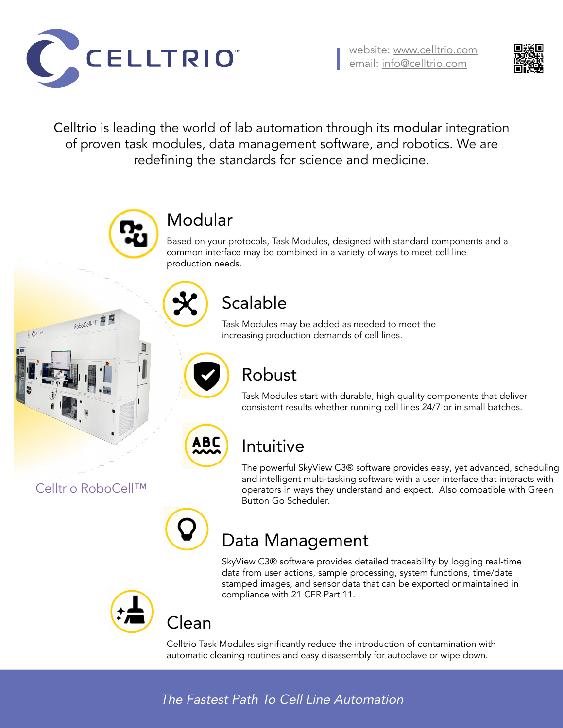#### The Fastest Path To Cell Line Automation



website: [www.celltrio.com](http://www.celltrio.com/) email: [info@celltrio.com](mailto:info@celltrio.com)



#### Modular

Based on your protocols, Task Modules, designed with standard components and a common interface may be combined in a variety of ways to meet cell line production needs.

# Scalable

Task Modules may be added as needed to meet the increasing production demands of cell lines.

## Robust

Task Modules start with durable, high quality components that deliver consistent results whether running cell lines 24/7 or in small batches.

## Intuitive

The powerful SkyView C3® software provides easy, yet advanced, scheduling and intelligent multi-tasking software with a user interface that interacts with operators in ways they understand and expect. Also compatible with Green Button Go Scheduler.



#### Data Management

SkyView C3® software provides detailed traceability by logging real-time data from user actions, sample processing, system functions, time/date stamped images, and sensor data that can be exported or maintained in compliance with 21 CFR Part 11.



Clean

Celltrio Task Modules significantly reduce the introduction of contamination with automatic cleaning routines and easy disassembly for autoclave or wipe down.

Celltrio is leading the world of lab automation through its modular integration of proven task modules, data management software, and robotics. We are redefining the standards for science and medicine.





RoboCell-H

**ABC**